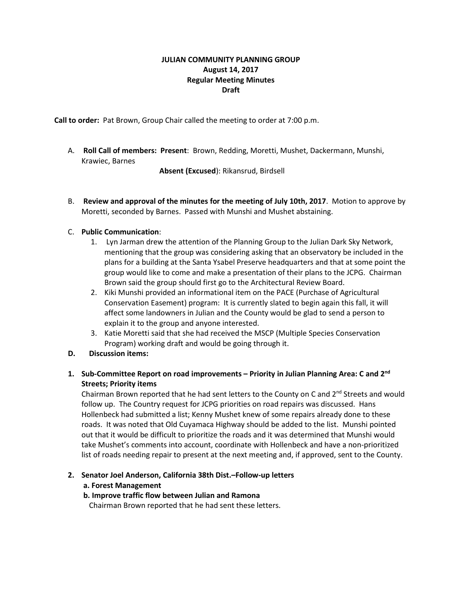# **JULIAN COMMUNITY PLANNING GROUP August 14, 2017 Regular Meeting Minutes Draft**

**Call to order:** Pat Brown, Group Chair called the meeting to order at 7:00 p.m.

A. **Roll Call of members: Present**: Brown, Redding, Moretti, Mushet, Dackermann, Munshi, Krawiec, Barnes

**Absent (Excused**): Rikansrud, Birdsell

B. **Review and approval of the minutes for the meeting of July 10th, 2017**. Motion to approve by Moretti, seconded by Barnes. Passed with Munshi and Mushet abstaining.

# C. **Public Communication**:

- 1. Lyn Jarman drew the attention of the Planning Group to the Julian Dark Sky Network, mentioning that the group was considering asking that an observatory be included in the plans for a building at the Santa Ysabel Preserve headquarters and that at some point the group would like to come and make a presentation of their plans to the JCPG. Chairman Brown said the group should first go to the Architectural Review Board.
- 2. Kiki Munshi provided an informational item on the PACE (Purchase of Agricultural Conservation Easement) program: It is currently slated to begin again this fall, it will affect some landowners in Julian and the County would be glad to send a person to explain it to the group and anyone interested.
- 3. Katie Moretti said that she had received the MSCP (Multiple Species Conservation Program) working draft and would be going through it.
- **D. Discussion items:**
- **1. Sub-Committee Report on road improvements – Priority in Julian Planning Area: C and 2nd Streets; Priority items**

Chairman Brown reported that he had sent letters to the County on C and  $2^{nd}$  Streets and would follow up. The Country request for JCPG priorities on road repairs was discussed. Hans Hollenbeck had submitted a list; Kenny Mushet knew of some repairs already done to these roads. It was noted that Old Cuyamaca Highway should be added to the list. Munshi pointed out that it would be difficult to prioritize the roads and it was determined that Munshi would take Mushet's comments into account, coordinate with Hollenbeck and have a non-prioritized list of roads needing repair to present at the next meeting and, if approved, sent to the County.

## **2. Senator Joel Anderson, California 38th Dist.–Follow-up letters**

## **a. Forest Management**

## **b. Improve traffic flow between Julian and Ramona**

Chairman Brown reported that he had sent these letters.